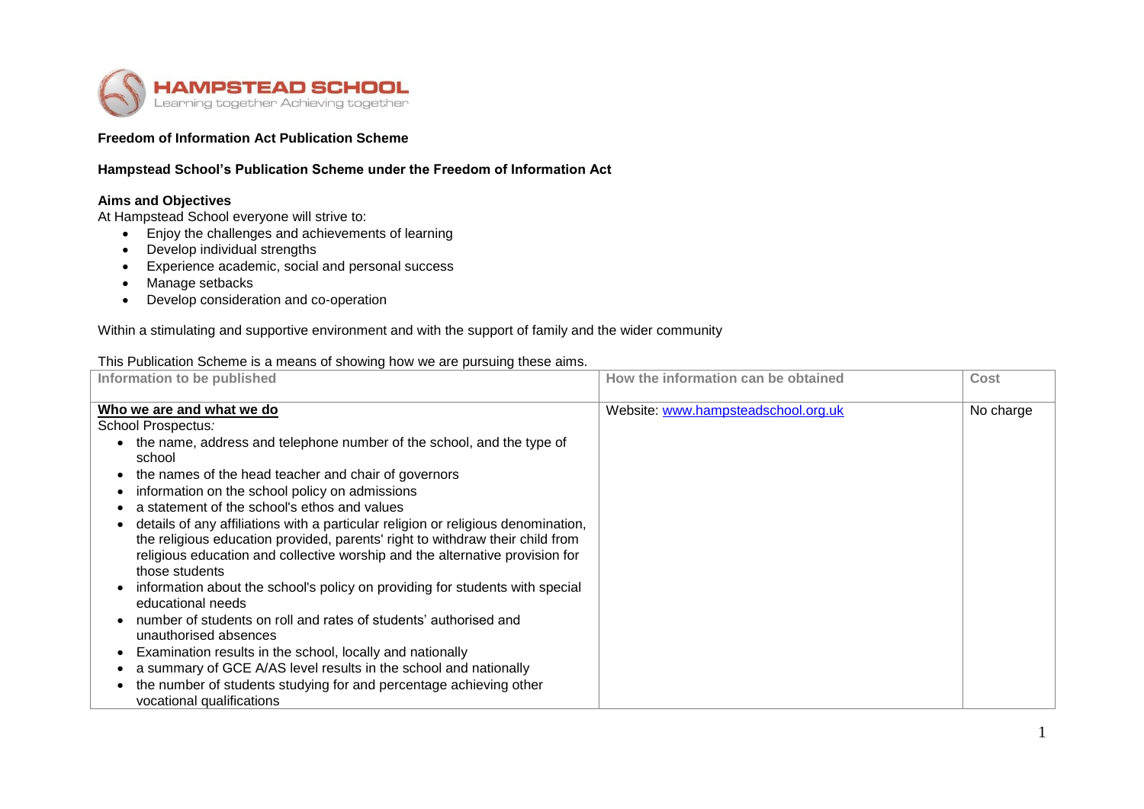

## **Freedom of Information Act Publication Scheme**

### **Hampstead School's Publication Scheme under the Freedom of Information Act**

# **Aims and Objectives**

At Hampstead School everyone will strive to:

- Enjoy the challenges and achievements of learning
- Develop individual strengths
- Experience academic, social and personal success
- Manage setbacks
- Develop consideration and co-operation

Within a stimulating and supportive environment and with the support of family and the wider community

#### This Publication Scheme is a means of showing how we are pursuing these aims.

| Information to be published                                                                                                                                                                                                                                                                                                                                                                                                                                                                                                                                                                                                                                                                                                                                                                                                                                                                                                                                                                                | How the information can be obtained | Cost      |
|------------------------------------------------------------------------------------------------------------------------------------------------------------------------------------------------------------------------------------------------------------------------------------------------------------------------------------------------------------------------------------------------------------------------------------------------------------------------------------------------------------------------------------------------------------------------------------------------------------------------------------------------------------------------------------------------------------------------------------------------------------------------------------------------------------------------------------------------------------------------------------------------------------------------------------------------------------------------------------------------------------|-------------------------------------|-----------|
| Who we are and what we do<br>School Prospectus:<br>the name, address and telephone number of the school, and the type of<br>school<br>the names of the head teacher and chair of governors<br>information on the school policy on admissions<br>a statement of the school's ethos and values<br>details of any affiliations with a particular religion or religious denomination,<br>the religious education provided, parents' right to withdraw their child from<br>religious education and collective worship and the alternative provision for<br>those students<br>information about the school's policy on providing for students with special<br>educational needs<br>number of students on roll and rates of students' authorised and<br>unauthorised absences<br>Examination results in the school, locally and nationally<br>a summary of GCE A/AS level results in the school and nationally<br>the number of students studying for and percentage achieving other<br>vocational qualifications | Website: www.hampsteadschool.org.uk | No charge |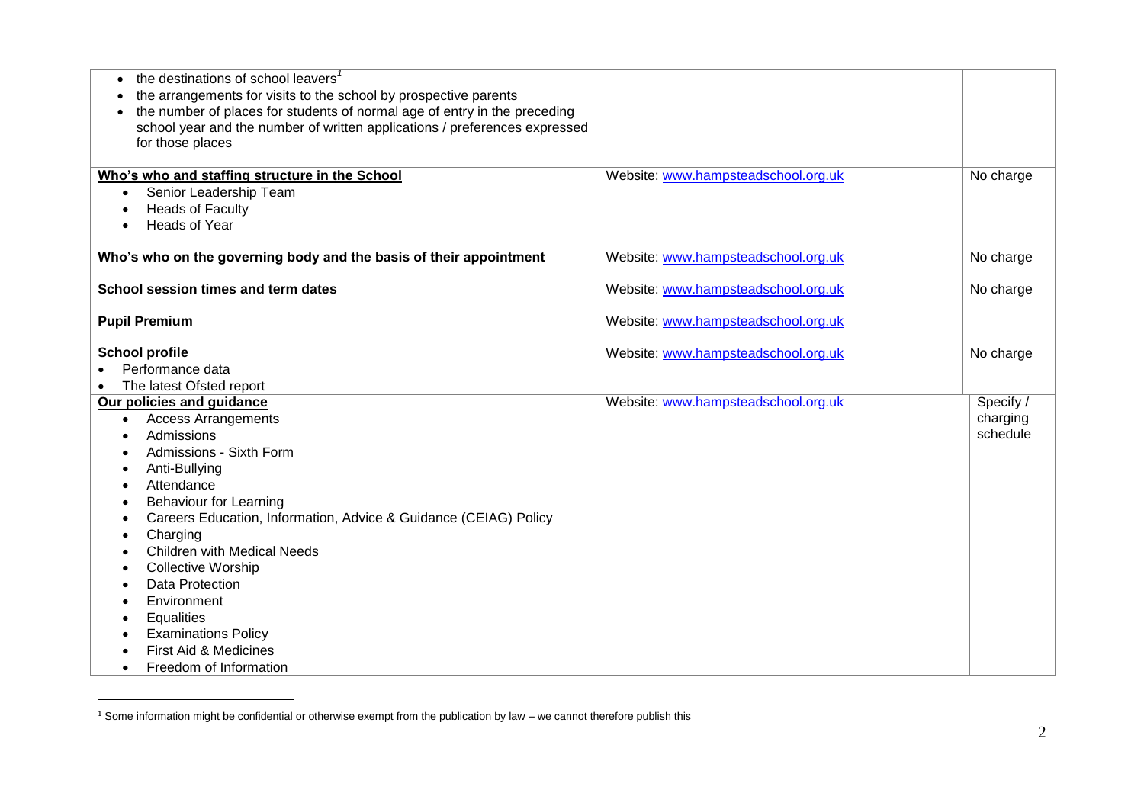| the destinations of school leavers <sup>1</sup><br>$\bullet$               |                                     |           |
|----------------------------------------------------------------------------|-------------------------------------|-----------|
| the arrangements for visits to the school by prospective parents           |                                     |           |
| the number of places for students of normal age of entry in the preceding  |                                     |           |
| school year and the number of written applications / preferences expressed |                                     |           |
| for those places                                                           |                                     |           |
|                                                                            |                                     |           |
| Who's who and staffing structure in the School                             | Website: www.hampsteadschool.org.uk | No charge |
| Senior Leadership Team<br>$\bullet$                                        |                                     |           |
| <b>Heads of Faculty</b>                                                    |                                     |           |
| <b>Heads of Year</b>                                                       |                                     |           |
| Who's who on the governing body and the basis of their appointment         | Website: www.hampsteadschool.org.uk | No charge |
|                                                                            |                                     |           |
| School session times and term dates                                        | Website: www.hampsteadschool.org.uk | No charge |
|                                                                            |                                     |           |
| <b>Pupil Premium</b>                                                       | Website: www.hampsteadschool.org.uk |           |
|                                                                            |                                     |           |
| <b>School profile</b>                                                      | Website: www.hampsteadschool.org.uk | No charge |
| Performance data                                                           |                                     |           |
| The latest Ofsted report                                                   |                                     |           |
| Our policies and guidance                                                  | Website: www.hampsteadschool.org.uk | Specify / |
| <b>Access Arrangements</b><br>$\bullet$                                    |                                     | charging  |
| Admissions                                                                 |                                     | schedule  |
| Admissions - Sixth Form                                                    |                                     |           |
| Anti-Bullying                                                              |                                     |           |
| Attendance                                                                 |                                     |           |
| <b>Behaviour for Learning</b>                                              |                                     |           |
| Careers Education, Information, Advice & Guidance (CEIAG) Policy           |                                     |           |
| Charging<br>٠                                                              |                                     |           |
| <b>Children with Medical Needs</b>                                         |                                     |           |
| <b>Collective Worship</b>                                                  |                                     |           |
| <b>Data Protection</b>                                                     |                                     |           |
| Environment                                                                |                                     |           |
| Equalities                                                                 |                                     |           |
| <b>Examinations Policy</b>                                                 |                                     |           |
| First Aid & Medicines                                                      |                                     |           |
| Freedom of Information                                                     |                                     |           |

<sup>&</sup>lt;sup>1</sup> Some information might be confidential or otherwise exempt from the publication by law – we cannot therefore publish this

 $\overline{a}$